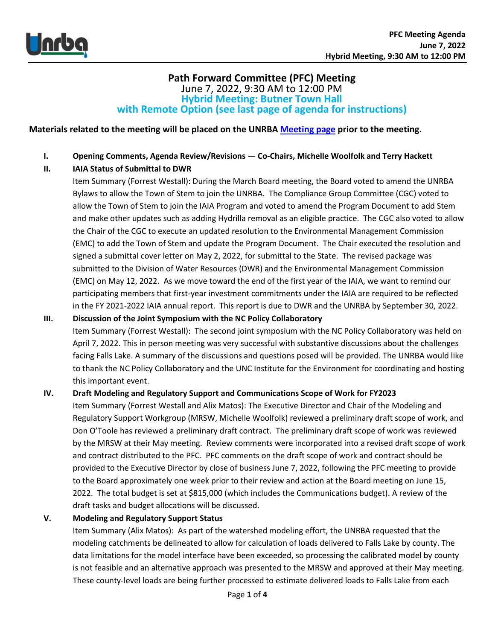

## **Path Forward Committee (PFC) Meeting** June 7, 2022, 9:30 AM to 12:00 PM **Hybrid Meeting: Butner Town Hall with Remote Option (see last page of agenda for instructions)**

**Materials related to the meeting will be placed on the UNRB[A Meeting page](https://www.unrba.org/meetings) prior to the meeting.**

- **I. Opening Comments, Agenda Review/Revisions — Co-Chairs, Michelle Woolfolk and Terry Hackett**
- **II. IAIA Status of Submittal to DWR**

Item Summary (Forrest Westall): During the March Board meeting, the Board voted to amend the UNRBA Bylaws to allow the Town of Stem to join the UNRBA. The Compliance Group Committee (CGC) voted to allow the Town of Stem to join the IAIA Program and voted to amend the Program Document to add Stem and make other updates such as adding Hydrilla removal as an eligible practice. The CGC also voted to allow the Chair of the CGC to execute an updated resolution to the Environmental Management Commission (EMC) to add the Town of Stem and update the Program Document. The Chair executed the resolution and signed a submittal cover letter on May 2, 2022, for submittal to the State. The revised package was submitted to the Division of Water Resources (DWR) and the Environmental Management Commission (EMC) on May 12, 2022. As we move toward the end of the first year of the IAIA, we want to remind our participating members that first-year investment commitments under the IAIA are required to be reflected in the FY 2021-2022 IAIA annual report. This report is due to DWR and the UNRBA by September 30, 2022.

**III. Discussion of the Joint Symposium with the NC Policy Collaboratory** Item Summary (Forrest Westall): The second joint symposium with the NC Policy Collaboratory was held on April 7, 2022. This in person meeting was very successful with substantive discussions about the challenges facing Falls Lake. A summary of the discussions and questions posed will be provided. The UNRBA would like to thank the NC Policy Collaboratory and the UNC Institute for the Environment for coordinating and hosting this important event.

**IV. Draft Modeling and Regulatory Support and Communications Scope of Work for FY2023** 

Item Summary (Forrest Westall and Alix Matos): The Executive Director and Chair of the Modeling and Regulatory Support Workgroup (MRSW, Michelle Woolfolk) reviewed a preliminary draft scope of work, and Don O'Toole has reviewed a preliminary draft contract. The preliminary draft scope of work was reviewed by the MRSW at their May meeting. Review comments were incorporated into a revised draft scope of work and contract distributed to the PFC. PFC comments on the draft scope of work and contract should be provided to the Executive Director by close of business June 7, 2022, following the PFC meeting to provide to the Board approximately one week prior to their review and action at the Board meeting on June 15, 2022. The total budget is set at \$815,000 (which includes the Communications budget). A review of the draft tasks and budget allocations will be discussed.

## **V. Modeling and Regulatory Support Status**

Item Summary (Alix Matos): As part of the watershed modeling effort, the UNRBA requested that the modeling catchments be delineated to allow for calculation of loads delivered to Falls Lake by county. The data limitations for the model interface have been exceeded, so processing the calibrated model by county is not feasible and an alternative approach was presented to the MRSW and approved at their May meeting. These county-level loads are being further processed to estimate delivered loads to Falls Lake from each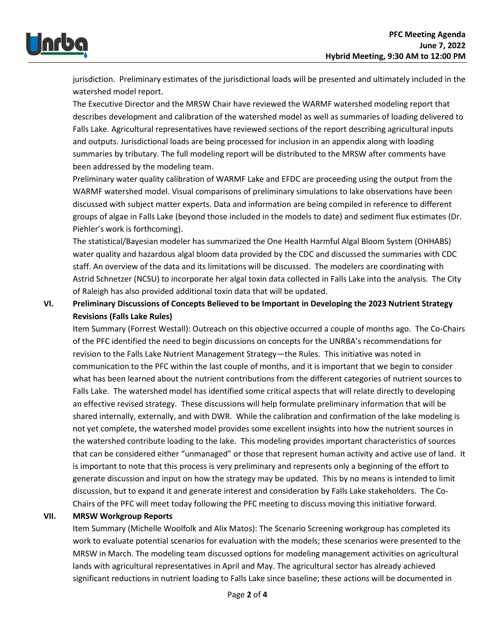

jurisdiction. Preliminary estimates of the jurisdictional loads will be presented and ultimately included in the watershed model report.

The Executive Director and the MRSW Chair have reviewed the WARMF watershed modeling report that describes development and calibration of the watershed model as well as summaries of loading delivered to Falls Lake. Agricultural representatives have reviewed sections of the report describing agricultural inputs and outputs. Jurisdictional loads are being processed for inclusion in an appendix along with loading summaries by tributary. The full modeling report will be distributed to the MRSW after comments have been addressed by the modeling team.

Preliminary water quality calibration of WARMF Lake and EFDC are proceeding using the output from the WARMF watershed model. Visual comparisons of preliminary simulations to lake observations have been discussed with subject matter experts. Data and information are being compiled in reference to different groups of algae in Falls Lake (beyond those included in the models to date) and sediment flux estimates (Dr. Piehler's work is forthcoming).

The statistical/Bayesian modeler has summarized the One Health Harmful Algal Bloom System (OHHABS) water quality and hazardous algal bloom data provided by the CDC and discussed the summaries with CDC staff. An overview of the data and its limitations will be discussed. The modelers are coordinating with Astrid Schnetzer (NCSU) to incorporate her algal toxin data collected in Falls Lake into the analysis. The City of Raleigh has also provided additional toxin data that will be updated.

**VI. Preliminary Discussions of Concepts Believed to be Important in Developing the 2023 Nutrient Strategy Revisions (Falls Lake Rules)**

Item Summary (Forrest Westall): Outreach on this objective occurred a couple of months ago. The Co-Chairs of the PFC identified the need to begin discussions on concepts for the UNRBA's recommendations for revision to the Falls Lake Nutrient Management Strategy—the Rules. This initiative was noted in communication to the PFC within the last couple of months, and it is important that we begin to consider what has been learned about the nutrient contributions from the different categories of nutrient sources to Falls Lake. The watershed model has identified some critical aspects that will relate directly to developing an effective revised strategy. These discussions will help formulate preliminary information that will be shared internally, externally, and with DWR. While the calibration and confirmation of the lake modeling is not yet complete, the watershed model provides some excellent insights into how the nutrient sources in the watershed contribute loading to the lake. This modeling provides important characteristics of sources that can be considered either "unmanaged" or those that represent human activity and active use of land. It is important to note that this process is very preliminary and represents only a beginning of the effort to generate discussion and input on how the strategy may be updated. This by no means is intended to limit discussion, but to expand it and generate interest and consideration by Falls Lake stakeholders. The Co-Chairs of the PFC will meet today following the PFC meeting to discuss moving this initiative forward.

## **VII. MRSW Workgroup Reports**

Item Summary (Michelle Woolfolk and Alix Matos): The Scenario Screening workgroup has completed its work to evaluate potential scenarios for evaluation with the models; these scenarios were presented to the MRSW in March. The modeling team discussed options for modeling management activities on agricultural lands with agricultural representatives in April and May. The agricultural sector has already achieved significant reductions in nutrient loading to Falls Lake since baseline; these actions will be documented in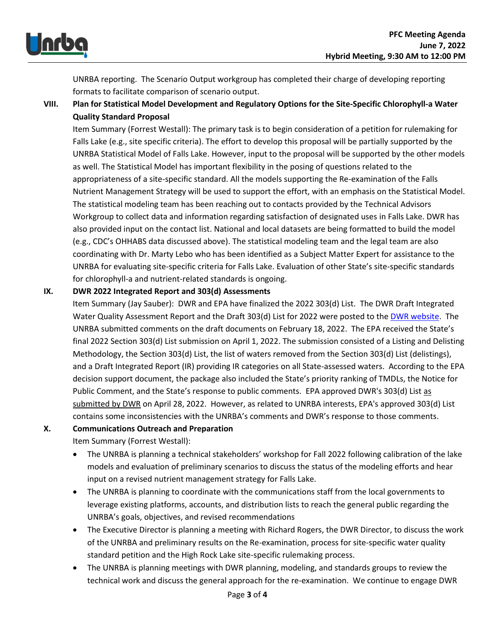

UNRBA reporting. The Scenario Output workgroup has completed their charge of developing reporting formats to facilitate comparison of scenario output.

## **VIII. Plan for Statistical Model Development and Regulatory Options for the Site-Specific Chlorophyll-a Water Quality Standard Proposal**

Item Summary (Forrest Westall): The primary task is to begin consideration of a petition for rulemaking for Falls Lake (e.g., site specific criteria). The effort to develop this proposal will be partially supported by the UNRBA Statistical Model of Falls Lake. However, input to the proposal will be supported by the other models as well. The Statistical Model has important flexibility in the posing of questions related to the appropriateness of a site-specific standard. All the models supporting the Re-examination of the Falls Nutrient Management Strategy will be used to support the effort, with an emphasis on the Statistical Model. The statistical modeling team has been reaching out to contacts provided by the Technical Advisors Workgroup to collect data and information regarding satisfaction of designated uses in Falls Lake. DWR has also provided input on the contact list. National and local datasets are being formatted to build the model (e.g., CDC's OHHABS data discussed above). The statistical modeling team and the legal team are also coordinating with Dr. Marty Lebo who has been identified as a Subject Matter Expert for assistance to the UNRBA for evaluating site-specific criteria for Falls Lake. Evaluation of other State's site-specific standards for chlorophyll-a and nutrient-related standards is ongoing.

#### **IX. DWR 2022 Integrated Report and 303(d) Assessments**

Item Summary (Jay Sauber): DWR and EPA have finalized the 2022 303(d) List. The DWR Draft Integrated Water Quality Assessment Report and the Draft 303(d) List for 2022 were posted to the [DWR website.](https://deq.nc.gov/about/divisions/water-resources/water-planning/modeling-assessment/water-quality-data-assessment/integrated-report-files) The UNRBA submitted comments on the draft documents on February 18, 2022. The EPA received the State's final 2022 Section 303(d) List submission on April 1, 2022. The submission consisted of a Listing and Delisting Methodology, the Section 303(d) List, the list of waters removed from the Section 303(d) List (delistings), and a Draft Integrated Report (IR) providing IR categories on all State-assessed waters. According to the EPA decision support document, the package also included the State's priority ranking of TMDLs, the Notice for Public Comment, and the State's response to public comments. EPA approved DWR's 303(d) List as submitted by DWR on April 28, 2022. However, as related to UNRBA interests, EPA's approved 303(d) List contains some inconsistencies with the UNRBA's comments and DWR's response to those comments.

#### **X. Communications Outreach and Preparation**

Item Summary (Forrest Westall):

- The UNRBA is planning a technical stakeholders' workshop for Fall 2022 following calibration of the lake models and evaluation of preliminary scenarios to discuss the status of the modeling efforts and hear input on a revised nutrient management strategy for Falls Lake.
- The UNRBA is planning to coordinate with the communications staff from the local governments to leverage existing platforms, accounts, and distribution lists to reach the general public regarding the UNRBA's goals, objectives, and revised recommendations
- The Executive Director is planning a meeting with Richard Rogers, the DWR Director, to discuss the work of the UNRBA and preliminary results on the Re-examination, process for site-specific water quality standard petition and the High Rock Lake site-specific rulemaking process.
- The UNRBA is planning meetings with DWR planning, modeling, and standards groups to review the technical work and discuss the general approach for the re-examination. We continue to engage DWR